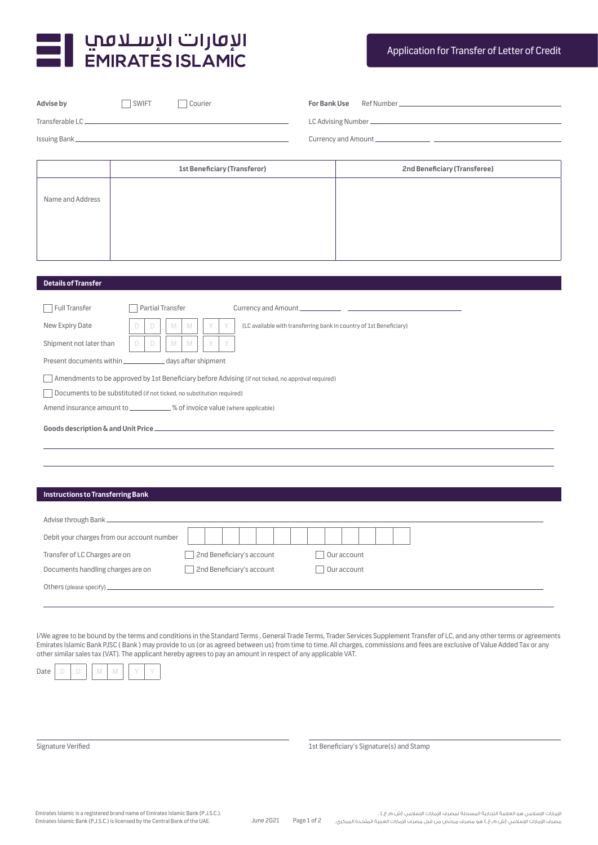

| Advise by                                | SWIFT<br>Courier                                                                                   |                           | For Bank Use                                                        |                              |  |  |  |  |  |
|------------------------------------------|----------------------------------------------------------------------------------------------------|---------------------------|---------------------------------------------------------------------|------------------------------|--|--|--|--|--|
|                                          |                                                                                                    |                           |                                                                     |                              |  |  |  |  |  |
|                                          |                                                                                                    |                           |                                                                     |                              |  |  |  |  |  |
|                                          |                                                                                                    |                           |                                                                     |                              |  |  |  |  |  |
|                                          | <b>1st Beneficiary (Transferor)</b>                                                                |                           |                                                                     | 2nd Beneficiary (Transferee) |  |  |  |  |  |
| Name and Address                         |                                                                                                    |                           |                                                                     |                              |  |  |  |  |  |
|                                          |                                                                                                    |                           |                                                                     |                              |  |  |  |  |  |
| <b>Details of Transfer</b>               |                                                                                                    |                           |                                                                     |                              |  |  |  |  |  |
|                                          |                                                                                                    |                           |                                                                     |                              |  |  |  |  |  |
| <b>Full Transfer</b>                     | <b>Partial Transfer</b>                                                                            |                           |                                                                     |                              |  |  |  |  |  |
| New Expiry Date                          | D<br>D<br>M<br>M                                                                                   | Y<br>Y                    | (LC available with transferring bank in country of 1st Beneficiary) |                              |  |  |  |  |  |
| Shipment not later than                  | M<br>M<br>D<br>D                                                                                   | Y                         |                                                                     |                              |  |  |  |  |  |
|                                          | Present documents within ______________ days after shipment                                        |                           |                                                                     |                              |  |  |  |  |  |
|                                          | Amendments to be approved by 1st Beneficiary before Advising (if not ticked, no approval required) |                           |                                                                     |                              |  |  |  |  |  |
|                                          | Documents to be substituted (if not ticked, no substitution required)                              |                           |                                                                     |                              |  |  |  |  |  |
|                                          | Amend insurance amount to ___________% of invoice value (where applicable)                         |                           |                                                                     |                              |  |  |  |  |  |
|                                          |                                                                                                    |                           |                                                                     |                              |  |  |  |  |  |
|                                          |                                                                                                    |                           |                                                                     |                              |  |  |  |  |  |
|                                          |                                                                                                    |                           |                                                                     |                              |  |  |  |  |  |
|                                          |                                                                                                    |                           |                                                                     |                              |  |  |  |  |  |
| <b>Instructions to Transferring Bank</b> |                                                                                                    |                           |                                                                     |                              |  |  |  |  |  |
|                                          |                                                                                                    |                           |                                                                     |                              |  |  |  |  |  |
|                                          | Debit your charges from our account number                                                         |                           |                                                                     |                              |  |  |  |  |  |
| Transfer of LC Charges are on            |                                                                                                    | 2nd Beneficiary's account | Our account                                                         |                              |  |  |  |  |  |

Others (please specify)\_

Documents handling charges are on  $\Box$  2nd Beneficiary's account  $\Box$  Our account

I/We agree to be bound by the terms and conditions in the Standard Terms , General Trade Terms, Trader Services Supplement Transfer of LC, and any other terms or agreements Emirates Islamic Bank PJSC ( Bank ) may provide to us (or as agreed between us) from time to time. All charges, commissions and fees are exclusive of Value Added Tax or any other similar sales tax (VAT). The applicant hereby agrees to pay an amount in respect of any applicable VAT.



Signature Verified 1st Beneficiary's Signature(s) and Stamp 1st Beneficiary's Signature(s) and Stamp